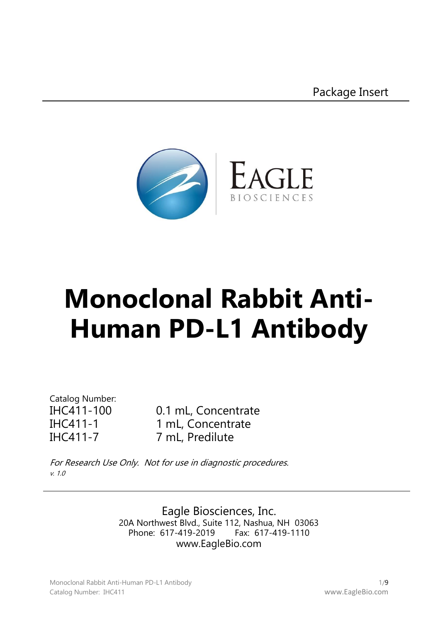

# **Monoclonal Rabbit Anti-Human PD-L1 Antibody**

Catalog Number:

IHC411-100 0.1 mL, Concentrate IHC411-1 1 mL, Concentrate IHC411-7 7 mL, Predilute

For Research Use Only. Not for use in diagnostic procedures. v. 1.0

> Eagle Biosciences, Inc. 20A Northwest Blvd., Suite 112, Nashua, NH 03063 Phone: 617-419-2019 www.EagleBio.com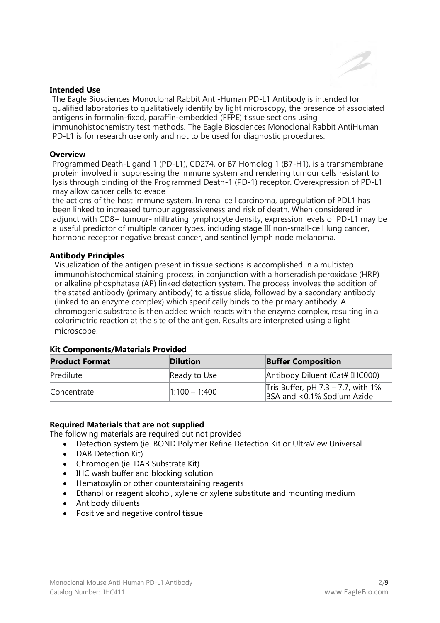

#### **Intended Use**

The Eagle Biosciences Monoclonal Rabbit Anti-Human PD-L1 Antibody is intended for qualified laboratories to qualitatively identify by light microscopy, the presence of associated antigens in formalin-fixed, paraffin-embedded (FFPE) tissue sections using immunohistochemistry test methods. The Eagle Biosciences Monoclonal Rabbit AntiHuman PD-L1 is for research use only and not to be used for diagnostic procedures.

#### **Overview**

Programmed Death-Ligand 1 (PD-L1), CD274, or B7 Homolog 1 (B7-H1), is a transmembrane protein involved in suppressing the immune system and rendering tumour cells resistant to lysis through binding of the Programmed Death-1 (PD-1) receptor. Overexpression of PD-L1 may allow cancer cells to evade

the actions of the host immune system. In renal cell carcinoma, upregulation of PDL1 has been linked to increased tumour aggressiveness and risk of death. When considered in adjunct with CD8+ tumour-infiltrating lymphocyte density, expression levels of PD-L1 may be a useful predictor of multiple cancer types, including stage III non-small-cell lung cancer, hormone receptor negative breast cancer, and sentinel lymph node melanoma.

#### **Antibody Principles**

Visualization of the antigen present in tissue sections is accomplished in a multistep immunohistochemical staining process, in conjunction with a horseradish peroxidase (HRP) or alkaline phosphatase (AP) linked detection system. The process involves the addition of the stated antibody (primary antibody) to a tissue slide, followed by a secondary antibody (linked to an enzyme complex) which specifically binds to the primary antibody. A chromogenic substrate is then added which reacts with the enzyme complex, resulting in a colorimetric reaction at the site of the antigen. Results are interpreted using a light microscope.

| <b>Product Format</b> | <b>Dilution</b> | <b>Buffer Composition</b>                                           |
|-----------------------|-----------------|---------------------------------------------------------------------|
| Predilute             | Ready to Use    | Antibody Diluent (Cat# IHC000)                                      |
| Concentrate           | $1:100 - 1:400$ | Tris Buffer, pH $7.3 - 7.7$ , with 1%<br>BSA and <0.1% Sodium Azide |

#### **Kit Components/Materials Provided**

## **Required Materials that are not supplied**

The following materials are required but not provided

- Detection system (ie. BOND Polymer Refine Detection Kit or UltraView Universal
- DAB Detection Kit)
- Chromogen (ie. DAB Substrate Kit)
- IHC wash buffer and blocking solution
- Hematoxylin or other counterstaining reagents
- Ethanol or reagent alcohol, xylene or xylene substitute and mounting medium
- Antibody diluents
- Positive and negative control tissue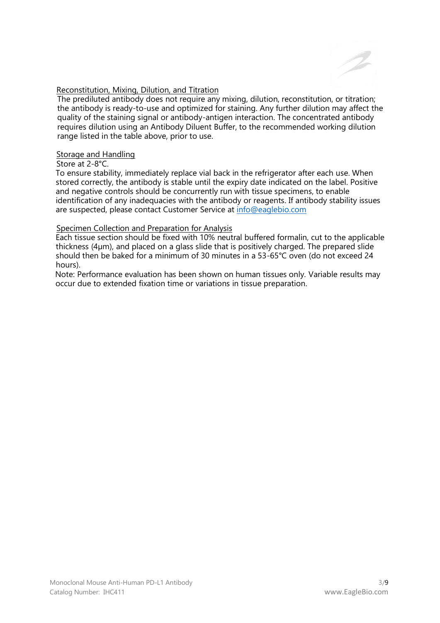

## Reconstitution, Mixing, Dilution, and Titration

The prediluted antibody does not require any mixing, dilution, reconstitution, or titration; the antibody is ready-to-use and optimized for staining. Any further dilution may affect the quality of the staining signal or antibody-antigen interaction. The concentrated antibody requires dilution using an Antibody Diluent Buffer, to the recommended working dilution range listed in the table above, prior to use.

## Storage and Handling

Store at 2-8°C.

To ensure stability, immediately replace vial back in the refrigerator after each use. When stored correctly, the antibody is stable until the expiry date indicated on the label. Positive and negative controls should be concurrently run with tissue specimens, to enable identification of any inadequacies with the antibody or reagents. If antibody stability issues are suspected, please contact Customer Service at [info@eaglebio.com](mailto:info@eaglebio.com)

## Specimen Collection and Preparation for Analysis

Each tissue section should be fixed with 10% neutral buffered formalin, cut to the applicable thickness (4µm), and placed on a glass slide that is positively charged. The prepared slide should then be baked for a minimum of 30 minutes in a 53-65°C oven (do not exceed 24 hours).

Note: Performance evaluation has been shown on human tissues only. Variable results may occur due to extended fixation time or variations in tissue preparation.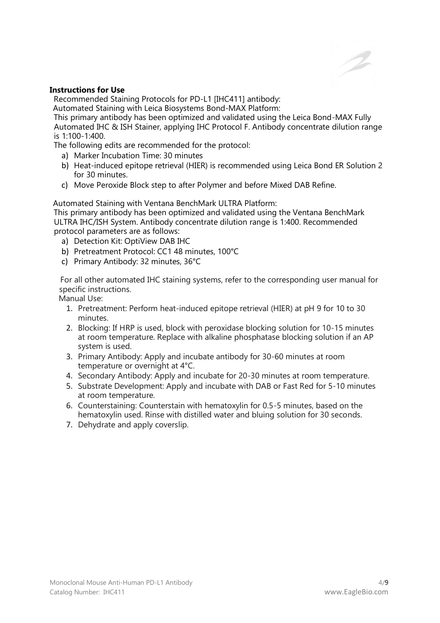

## **Instructions for Use**

Recommended Staining Protocols for PD-L1 [IHC411] antibody:

Automated Staining with Leica Biosystems Bond-MAX Platform:

This primary antibody has been optimized and validated using the Leica Bond-MAX Fully Automated IHC & ISH Stainer, applying IHC Protocol F. Antibody concentrate dilution range is 1:100-1:400.

The following edits are recommended for the protocol:

- a) Marker Incubation Time: 30 minutes
- b) Heat-induced epitope retrieval (HIER) is recommended using Leica Bond ER Solution 2 for 30 minutes.
- c) Move Peroxide Block step to after Polymer and before Mixed DAB Refine.

Automated Staining with Ventana BenchMark ULTRA Platform:

This primary antibody has been optimized and validated using the Ventana BenchMark ULTRA IHC/ISH System. Antibody concentrate dilution range is 1:400. Recommended protocol parameters are as follows:

- a) Detection Kit: OptiView DAB IHC
- b) Pretreatment Protocol: CC1 48 minutes, 100°C
- c) Primary Antibody: 32 minutes, 36°C

For all other automated IHC staining systems, refer to the corresponding user manual for specific instructions.

Manual Use:

- 1. Pretreatment: Perform heat-induced epitope retrieval (HIER) at pH 9 for 10 to 30 minutes.
- 2. Blocking: If HRP is used, block with peroxidase blocking solution for 10-15 minutes at room temperature. Replace with alkaline phosphatase blocking solution if an AP system is used.
- 3. Primary Antibody: Apply and incubate antibody for 30-60 minutes at room temperature or overnight at 4°C.
- 4. Secondary Antibody: Apply and incubate for 20-30 minutes at room temperature.
- 5. Substrate Development: Apply and incubate with DAB or Fast Red for 5-10 minutes at room temperature.
- 6. Counterstaining: Counterstain with hematoxylin for 0.5-5 minutes, based on the hematoxylin used. Rinse with distilled water and bluing solution for 30 seconds.
- 7. Dehydrate and apply coverslip.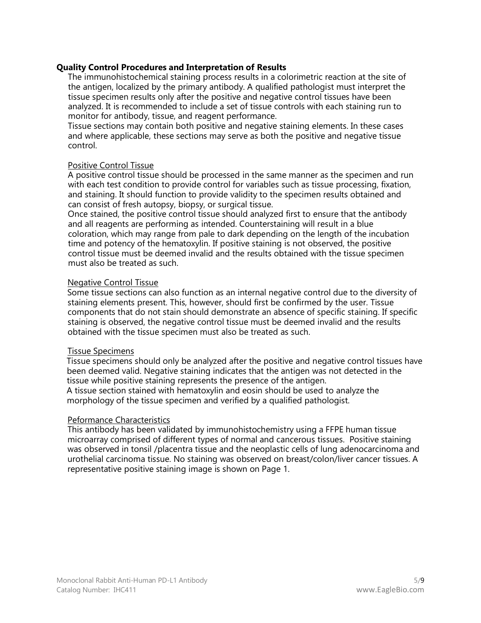## **Quality Control Procedures and Interpretation of Results**

The immunohistochemical staining process results in a colorimetric reaction at the site of the antigen, localized by the primary antibody. A qualified pathologist must interpret the tissue specimen results only after the positive and negative control tissues have been analyzed. It is recommended to include a set of tissue controls with each staining run to monitor for antibody, tissue, and reagent performance.

Tissue sections may contain both positive and negative staining elements. In these cases and where applicable, these sections may serve as both the positive and negative tissue control.

#### Positive Control Tissue

A positive control tissue should be processed in the same manner as the specimen and run with each test condition to provide control for variables such as tissue processing, fixation, and staining. It should function to provide validity to the specimen results obtained and can consist of fresh autopsy, biopsy, or surgical tissue.

Once stained, the positive control tissue should analyzed first to ensure that the antibody and all reagents are performing as intended. Counterstaining will result in a blue coloration, which may range from pale to dark depending on the length of the incubation time and potency of the hematoxylin. If positive staining is not observed, the positive control tissue must be deemed invalid and the results obtained with the tissue specimen must also be treated as such.

#### Negative Control Tissue

Some tissue sections can also function as an internal negative control due to the diversity of staining elements present. This, however, should first be confirmed by the user. Tissue components that do not stain should demonstrate an absence of specific staining. If specific staining is observed, the negative control tissue must be deemed invalid and the results obtained with the tissue specimen must also be treated as such.

#### Tissue Specimens

Tissue specimens should only be analyzed after the positive and negative control tissues have been deemed valid. Negative staining indicates that the antigen was not detected in the tissue while positive staining represents the presence of the antigen. A tissue section stained with hematoxylin and eosin should be used to analyze the morphology of the tissue specimen and verified by a qualified pathologist.

#### Peformance Characteristics

This antibody has been validated by immunohistochemistry using a FFPE human tissue microarray comprised of different types of normal and cancerous tissues. Positive staining was observed in tonsil /placentra tissue and the neoplastic cells of lung adenocarcinoma and urothelial carcinoma tissue. No staining was observed on breast/colon/liver cancer tissues. A representative positive staining image is shown on Page 1.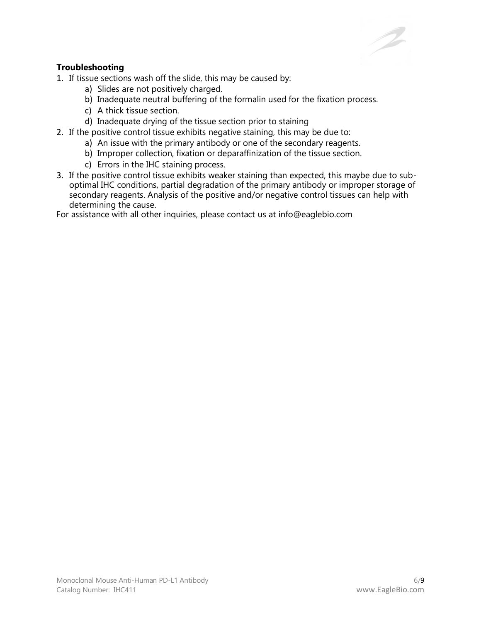## **Troubleshooting**

1. If tissue sections wash off the slide, this may be caused by:

- a) Slides are not positively charged.
- b) Inadequate neutral buffering of the formalin used for the fixation process.
- c) A thick tissue section.
- d) Inadequate drying of the tissue section prior to staining
- 2. If the positive control tissue exhibits negative staining, this may be due to:
	- a) An issue with the primary antibody or one of the secondary reagents.
	- b) Improper collection, fixation or deparaffinization of the tissue section.
	- c) Errors in the IHC staining process.
- 3. If the positive control tissue exhibits weaker staining than expected, this maybe due to suboptimal IHC conditions, partial degradation of the primary antibody or improper storage of secondary reagents. Analysis of the positive and/or negative control tissues can help with determining the cause.

For assistance with all other inquiries, please contact us at info@eaglebio.com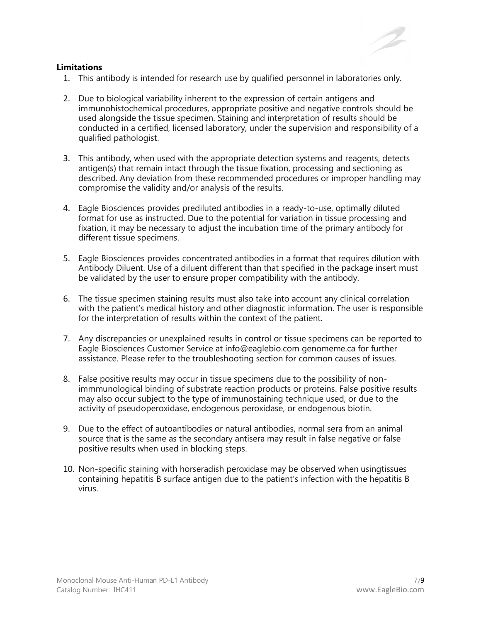#### **Limitations**

- 1. This antibody is intended for research use by qualified personnel in laboratories only.
- 2. Due to biological variability inherent to the expression of certain antigens and immunohistochemical procedures, appropriate positive and negative controls should be used alongside the tissue specimen. Staining and interpretation of results should be conducted in a certified, licensed laboratory, under the supervision and responsibility of a qualified pathologist.
- 3. This antibody, when used with the appropriate detection systems and reagents, detects antigen(s) that remain intact through the tissue fixation, processing and sectioning as described. Any deviation from these recommended procedures or improper handling may compromise the validity and/or analysis of the results.
- 4. Eagle Biosciences provides prediluted antibodies in a ready-to-use, optimally diluted format for use as instructed. Due to the potential for variation in tissue processing and fixation, it may be necessary to adjust the incubation time of the primary antibody for different tissue specimens.
- 5. Eagle Biosciences provides concentrated antibodies in a format that requires dilution with Antibody Diluent. Use of a diluent different than that specified in the package insert must be validated by the user to ensure proper compatibility with the antibody.
- 6. The tissue specimen staining results must also take into account any clinical correlation with the patient's medical history and other diagnostic information. The user is responsible for the interpretation of results within the context of the patient.
- 7. Any discrepancies or unexplained results in control or tissue specimens can be reported to Eagle Biosciences Customer Service at info@eaglebio.com genomeme.ca for further assistance. Please refer to the troubleshooting section for common causes of issues.
- 8. False positive results may occur in tissue specimens due to the possibility of nonimmmunological binding of substrate reaction products or proteins. False positive results may also occur subject to the type of immunostaining technique used, or due to the activity of pseudoperoxidase, endogenous peroxidase, or endogenous biotin.
- 9. Due to the effect of autoantibodies or natural antibodies, normal sera from an animal source that is the same as the secondary antisera may result in false negative or false positive results when used in blocking steps.
- 10. Non-specific staining with horseradish peroxidase may be observed when usingtissues containing hepatitis B surface antigen due to the patient's infection with the hepatitis B virus.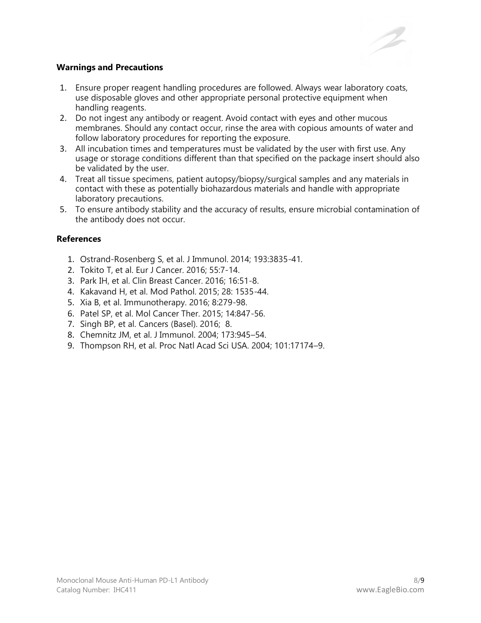

## **Warnings and Precautions**

- 1. Ensure proper reagent handling procedures are followed. Always wear laboratory coats, use disposable gloves and other appropriate personal protective equipment when handling reagents.
- 2. Do not ingest any antibody or reagent. Avoid contact with eyes and other mucous membranes. Should any contact occur, rinse the area with copious amounts of water and follow laboratory procedures for reporting the exposure.
- 3. All incubation times and temperatures must be validated by the user with first use. Any usage or storage conditions different than that specified on the package insert should also be validated by the user.
- 4. Treat all tissue specimens, patient autopsy/biopsy/surgical samples and any materials in contact with these as potentially biohazardous materials and handle with appropriate laboratory precautions.
- 5. To ensure antibody stability and the accuracy of results, ensure microbial contamination of the antibody does not occur.

## **References**

- 1. Ostrand-Rosenberg S, et al. J Immunol. 2014; 193:3835-41.
- 2. Tokito T, et al. Eur J Cancer. 2016; 55:7-14.
- 3. Park IH, et al. Clin Breast Cancer. 2016; 16:51-8.
- 4. Kakavand H, et al. Mod Pathol. 2015; 28: 1535-44.
- 5. Xia B, et al. Immunotherapy. 2016; 8:279-98.
- 6. Patel SP, et al. Mol Cancer Ther. 2015; 14:847-56.
- 7. Singh BP, et al. Cancers (Basel). 2016; 8.
- 8. Chemnitz JM, et al. J Immunol. 2004; 173:945–54.
- 9. Thompson RH, et al. Proc Natl Acad Sci USA. 2004; 101:17174–9.